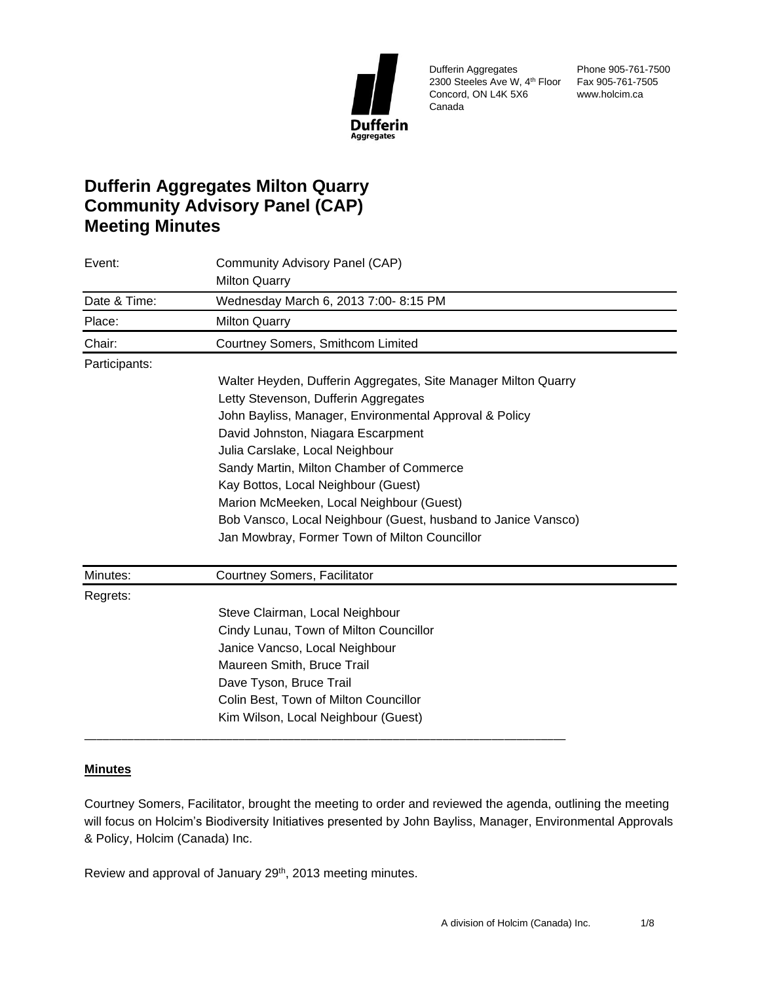

Dufferin Aggregates 2300 Steeles Ave W, 4th Floor Fax 905-761-7505 Concord, ON L4K 5X6 Canada

Phone 905-761-7500 www.holcim.ca

# **Dufferin Aggregates Milton Quarry Community Advisory Panel (CAP) Meeting Minutes**

| Event:        | Community Advisory Panel (CAP)                                 |  |
|---------------|----------------------------------------------------------------|--|
|               | <b>Milton Quarry</b>                                           |  |
| Date & Time:  | Wednesday March 6, 2013 7:00- 8:15 PM                          |  |
| Place:        | <b>Milton Quarry</b>                                           |  |
| Chair:        | Courtney Somers, Smithcom Limited                              |  |
| Participants: |                                                                |  |
|               | Walter Heyden, Dufferin Aggregates, Site Manager Milton Quarry |  |
|               | Letty Stevenson, Dufferin Aggregates                           |  |
|               | John Bayliss, Manager, Environmental Approval & Policy         |  |
|               | David Johnston, Niagara Escarpment                             |  |
|               | Julia Carslake, Local Neighbour                                |  |
|               | Sandy Martin, Milton Chamber of Commerce                       |  |
|               | Kay Bottos, Local Neighbour (Guest)                            |  |
|               | Marion McMeeken, Local Neighbour (Guest)                       |  |
|               | Bob Vansco, Local Neighbour (Guest, husband to Janice Vansco)  |  |
|               | Jan Mowbray, Former Town of Milton Councillor                  |  |
| Minutes:      | Courtney Somers, Facilitator                                   |  |
| Regrets:      |                                                                |  |
|               | Steve Clairman, Local Neighbour                                |  |
|               | Cindy Lunau, Town of Milton Councillor                         |  |
|               | Janice Vancso, Local Neighbour                                 |  |
|               | Maureen Smith, Bruce Trail                                     |  |
|               | Dave Tyson, Bruce Trail                                        |  |
|               | Colin Best, Town of Milton Councillor                          |  |
|               | Kim Wilson, Local Neighbour (Guest)                            |  |
|               |                                                                |  |

# **Minutes**

Courtney Somers, Facilitator, brought the meeting to order and reviewed the agenda, outlining the meeting will focus on Holcim's Biodiversity Initiatives presented by John Bayliss, Manager, Environmental Approvals & Policy, Holcim (Canada) Inc.

Review and approval of January 29<sup>th</sup>, 2013 meeting minutes.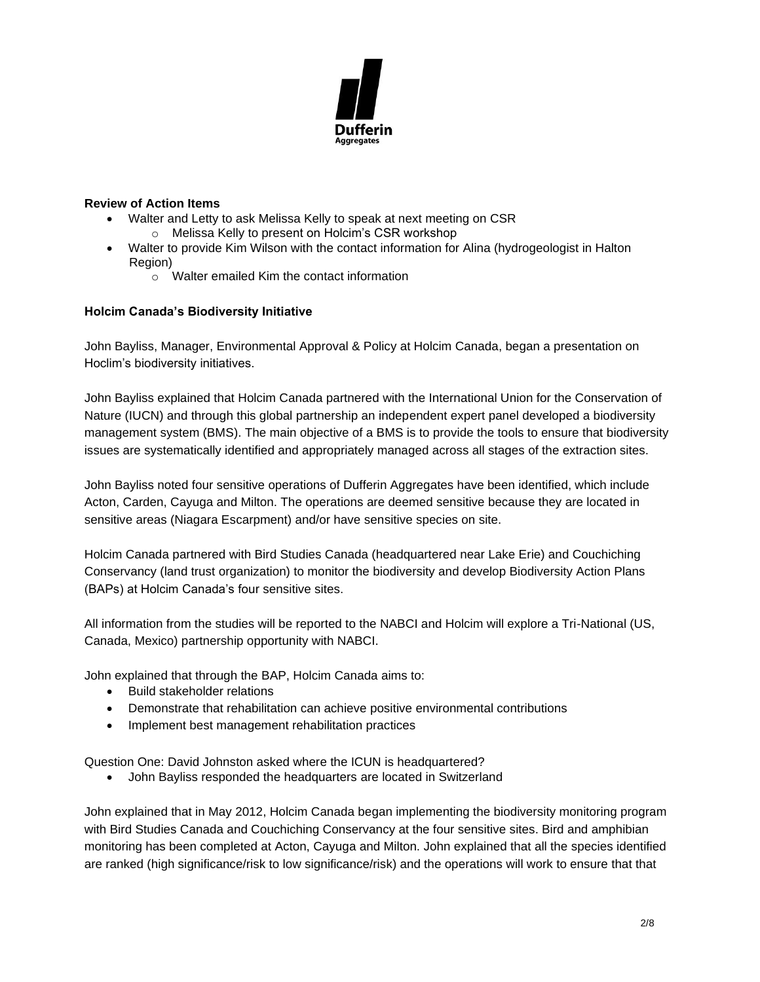

## **Review of Action Items**

- Walter and Letty to ask Melissa Kelly to speak at next meeting on CSR
	- o Melissa Kelly to present on Holcim's CSR workshop
- Walter to provide Kim Wilson with the contact information for Alina (hydrogeologist in Halton Region)
	- $\sim$   $\alpha$  Walter emailed Kim the contact information

#### **Holcim Canada's Biodiversity Initiative**

John Bayliss, Manager, Environmental Approval & Policy at Holcim Canada, began a presentation on Hoclim's biodiversity initiatives.

John Bayliss explained that Holcim Canada partnered with the International Union for the Conservation of Nature (IUCN) and through this global partnership an independent expert panel developed a biodiversity management system (BMS). The main objective of a BMS is to provide the tools to ensure that biodiversity issues are systematically identified and appropriately managed across all stages of the extraction sites.

John Bayliss noted four sensitive operations of Dufferin Aggregates have been identified, which include Acton, Carden, Cayuga and Milton. The operations are deemed sensitive because they are located in sensitive areas (Niagara Escarpment) and/or have sensitive species on site.

Holcim Canada partnered with Bird Studies Canada (headquartered near Lake Erie) and Couchiching Conservancy (land trust organization) to monitor the biodiversity and develop Biodiversity Action Plans (BAPs) at Holcim Canada's four sensitive sites.

All information from the studies will be reported to the NABCI and Holcim will explore a Tri-National (US, Canada, Mexico) partnership opportunity with NABCI.

John explained that through the BAP, Holcim Canada aims to:

- Build stakeholder relations
- Demonstrate that rehabilitation can achieve positive environmental contributions
- Implement best management rehabilitation practices

Question One: David Johnston asked where the ICUN is headquartered?

• John Bayliss responded the headquarters are located in Switzerland

John explained that in May 2012, Holcim Canada began implementing the biodiversity monitoring program with Bird Studies Canada and Couchiching Conservancy at the four sensitive sites. Bird and amphibian monitoring has been completed at Acton, Cayuga and Milton. John explained that all the species identified are ranked (high significance/risk to low significance/risk) and the operations will work to ensure that that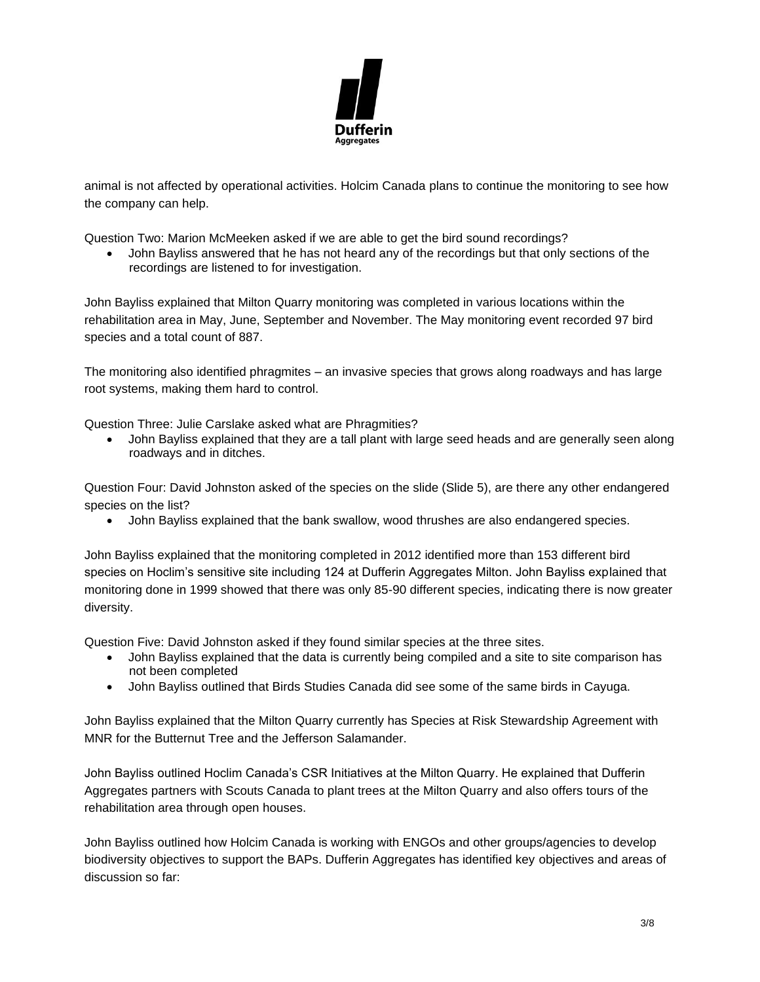

animal is not affected by operational activities. Holcim Canada plans to continue the monitoring to see how the company can help.

Question Two: Marion McMeeken asked if we are able to get the bird sound recordings?

• John Bayliss answered that he has not heard any of the recordings but that only sections of the recordings are listened to for investigation.

John Bayliss explained that Milton Quarry monitoring was completed in various locations within the rehabilitation area in May, June, September and November. The May monitoring event recorded 97 bird species and a total count of 887.

The monitoring also identified phragmites – an invasive species that grows along roadways and has large root systems, making them hard to control.

Question Three: Julie Carslake asked what are Phragmities?

• John Bayliss explained that they are a tall plant with large seed heads and are generally seen along roadways and in ditches.

Question Four: David Johnston asked of the species on the slide (Slide 5), are there any other endangered species on the list?

• John Bayliss explained that the bank swallow, wood thrushes are also endangered species.

John Bayliss explained that the monitoring completed in 2012 identified more than 153 different bird species on Hoclim's sensitive site including 124 at Dufferin Aggregates Milton. John Bayliss explained that monitoring done in 1999 showed that there was only 85-90 different species, indicating there is now greater diversity.

Question Five: David Johnston asked if they found similar species at the three sites.

- John Bayliss explained that the data is currently being compiled and a site to site comparison has not been completed
- John Bayliss outlined that Birds Studies Canada did see some of the same birds in Cayuga.

John Bayliss explained that the Milton Quarry currently has Species at Risk Stewardship Agreement with MNR for the Butternut Tree and the Jefferson Salamander.

John Bayliss outlined Hoclim Canada's CSR Initiatives at the Milton Quarry. He explained that Dufferin Aggregates partners with Scouts Canada to plant trees at the Milton Quarry and also offers tours of the rehabilitation area through open houses.

John Bayliss outlined how Holcim Canada is working with ENGOs and other groups/agencies to develop biodiversity objectives to support the BAPs. Dufferin Aggregates has identified key objectives and areas of discussion so far: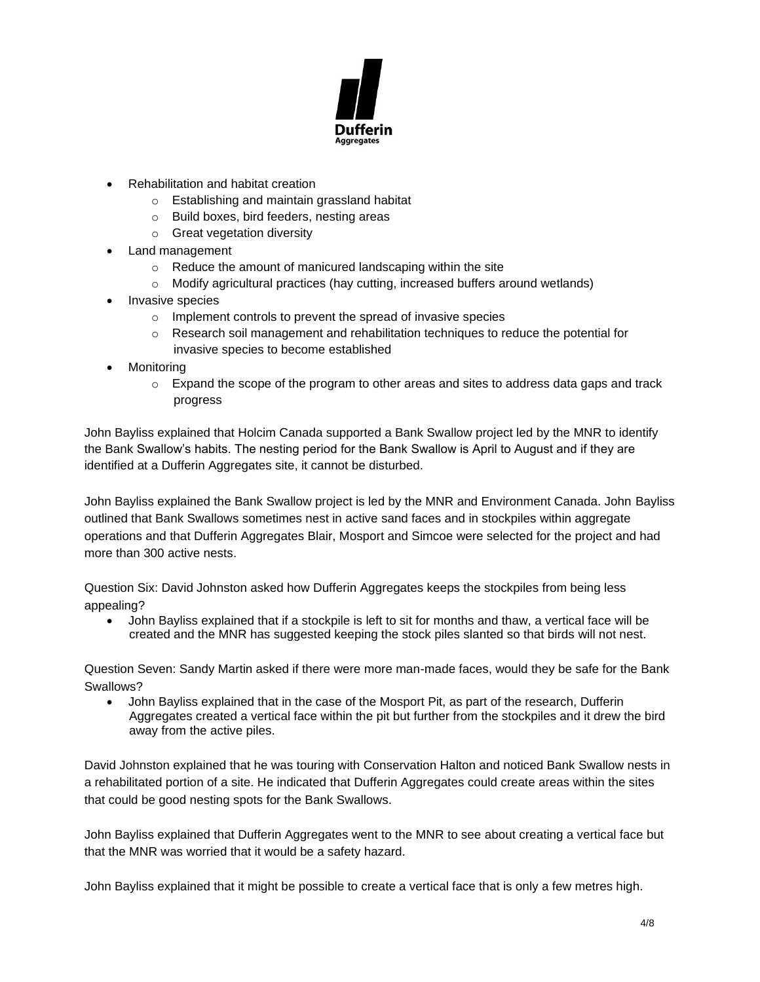

- Rehabilitation and habitat creation
	- o Establishing and maintain grassland habitat
	- o Build boxes, bird feeders, nesting areas
	- o Great vegetation diversity
- Land management
	- o Reduce the amount of manicured landscaping within the site
	- $\circ$  Modify agricultural practices (hay cutting, increased buffers around wetlands)
- Invasive species
	- o Implement controls to prevent the spread of invasive species
	- $\circ$  Research soil management and rehabilitation techniques to reduce the potential for invasive species to become established
- **Monitoring** 
	- $\circ$  Expand the scope of the program to other areas and sites to address data gaps and track progress

John Bayliss explained that Holcim Canada supported a Bank Swallow project led by the MNR to identify the Bank Swallow's habits. The nesting period for the Bank Swallow is April to August and if they are identified at a Dufferin Aggregates site, it cannot be disturbed.

John Bayliss explained the Bank Swallow project is led by the MNR and Environment Canada. John Bayliss outlined that Bank Swallows sometimes nest in active sand faces and in stockpiles within aggregate operations and that Dufferin Aggregates Blair, Mosport and Simcoe were selected for the project and had more than 300 active nests.

Question Six: David Johnston asked how Dufferin Aggregates keeps the stockpiles from being less appealing?

• John Bayliss explained that if a stockpile is left to sit for months and thaw, a vertical face will be created and the MNR has suggested keeping the stock piles slanted so that birds will not nest.

Question Seven: Sandy Martin asked if there were more man-made faces, would they be safe for the Bank Swallows?

• John Bayliss explained that in the case of the Mosport Pit, as part of the research, Dufferin Aggregates created a vertical face within the pit but further from the stockpiles and it drew the bird away from the active piles.

David Johnston explained that he was touring with Conservation Halton and noticed Bank Swallow nests in a rehabilitated portion of a site. He indicated that Dufferin Aggregates could create areas within the sites that could be good nesting spots for the Bank Swallows.

John Bayliss explained that Dufferin Aggregates went to the MNR to see about creating a vertical face but that the MNR was worried that it would be a safety hazard.

John Bayliss explained that it might be possible to create a vertical face that is only a few metres high.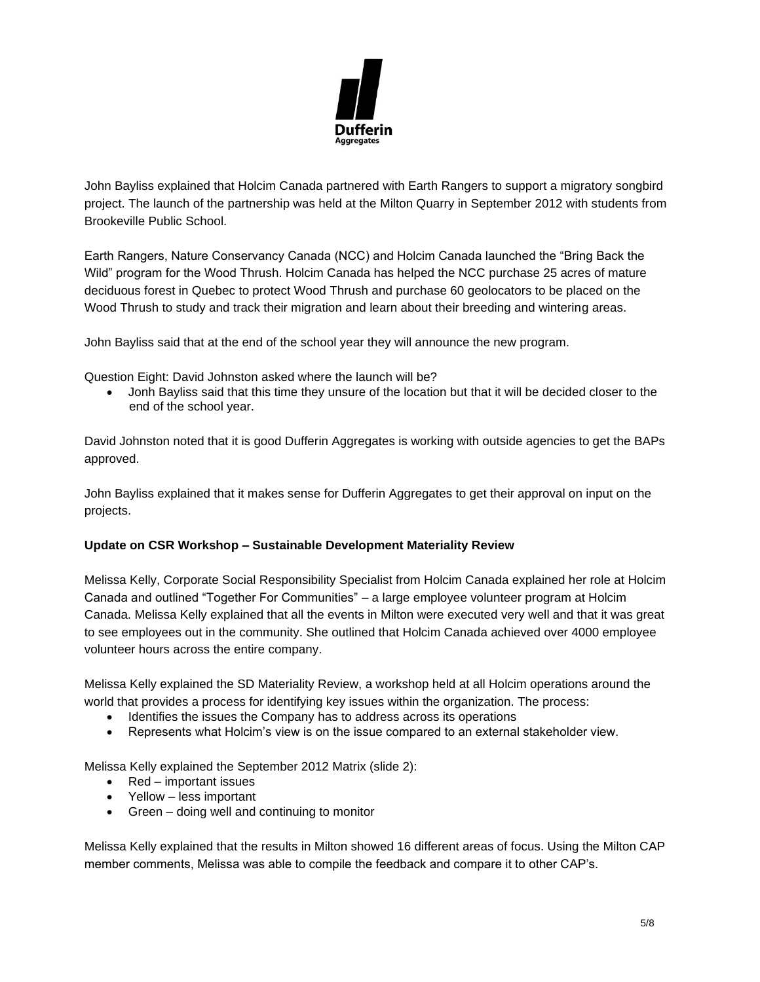

John Bayliss explained that Holcim Canada partnered with Earth Rangers to support a migratory songbird project. The launch of the partnership was held at the Milton Quarry in September 2012 with students from Brookeville Public School.

Earth Rangers, Nature Conservancy Canada (NCC) and Holcim Canada launched the "Bring Back the Wild" program for the Wood Thrush. Holcim Canada has helped the NCC purchase 25 acres of mature deciduous forest in Quebec to protect Wood Thrush and purchase 60 geolocators to be placed on the Wood Thrush to study and track their migration and learn about their breeding and wintering areas.

John Bayliss said that at the end of the school year they will announce the new program.

Question Eight: David Johnston asked where the launch will be?

• Jonh Bayliss said that this time they unsure of the location but that it will be decided closer to the end of the school year.

David Johnston noted that it is good Dufferin Aggregates is working with outside agencies to get the BAPs approved.

John Bayliss explained that it makes sense for Dufferin Aggregates to get their approval on input on the projects.

#### **Update on CSR Workshop – Sustainable Development Materiality Review**

Melissa Kelly, Corporate Social Responsibility Specialist from Holcim Canada explained her role at Holcim Canada and outlined "Together For Communities" – a large employee volunteer program at Holcim Canada. Melissa Kelly explained that all the events in Milton were executed very well and that it was great to see employees out in the community. She outlined that Holcim Canada achieved over 4000 employee volunteer hours across the entire company.

Melissa Kelly explained the SD Materiality Review, a workshop held at all Holcim operations around the world that provides a process for identifying key issues within the organization. The process:

- Identifies the issues the Company has to address across its operations
- Represents what Holcim's view is on the issue compared to an external stakeholder view.

Melissa Kelly explained the September 2012 Matrix (slide 2):

- Red important issues
- Yellow less important
- Green doing well and continuing to monitor

Melissa Kelly explained that the results in Milton showed 16 different areas of focus. Using the Milton CAP member comments, Melissa was able to compile the feedback and compare it to other CAP's.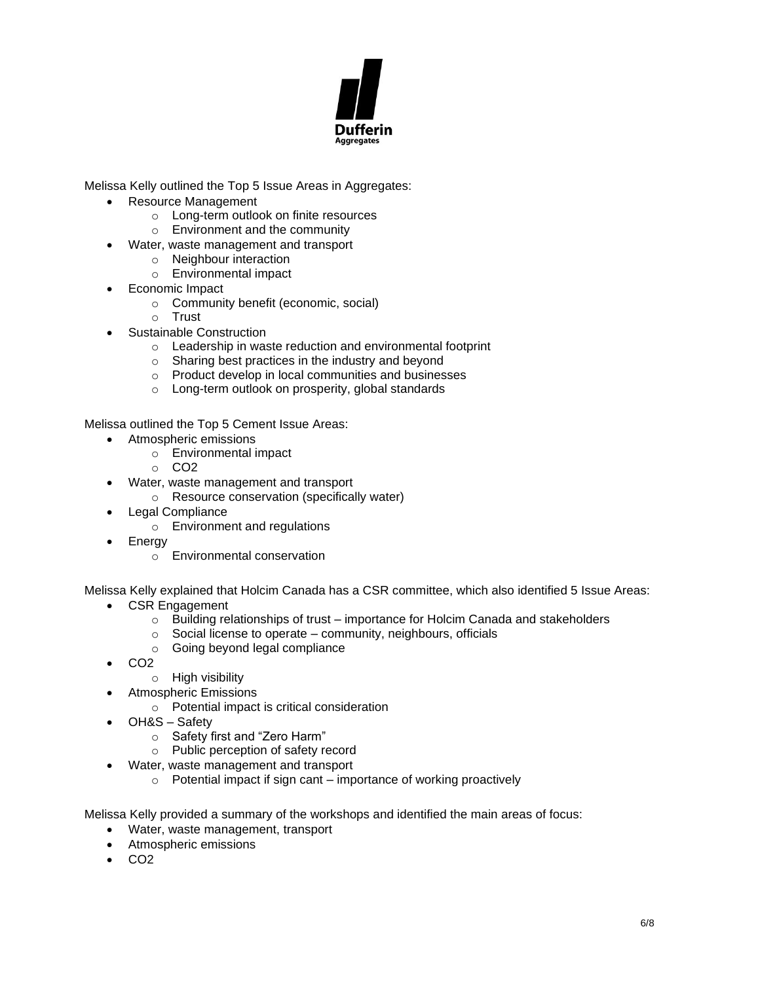

Melissa Kelly outlined the Top 5 Issue Areas in Aggregates:

- Resource Management
	- o Long-term outlook on finite resources
	- o Environment and the community
	- Water, waste management and transport
		- o Neighbour interaction
		- o Environmental impact
- Economic Impact
	- o Community benefit (economic, social)
	- o Trust
- Sustainable Construction
	- o Leadership in waste reduction and environmental footprint
	- o Sharing best practices in the industry and beyond
	- o Product develop in local communities and businesses
	- o Long-term outlook on prosperity, global standards

Melissa outlined the Top 5 Cement Issue Areas:

- Atmospheric emissions
	- o Environmental impact
	- o CO2
- Water, waste management and transport
	- o Resource conservation (specifically water)
- Legal Compliance
	- o Environment and regulations
- **Energy** 
	- o Environmental conservation

Melissa Kelly explained that Holcim Canada has a CSR committee, which also identified 5 Issue Areas:

- CSR Engagement
	- $\circ$  Building relationships of trust importance for Holcim Canada and stakeholders
	- $\circ$  Social license to operate community, neighbours, officials
	- o Going beyond legal compliance
- CO2
	- o High visibility
	- Atmospheric Emissions
		- o Potential impact is critical consideration
- OH&S Safety
	- o Safety first and "Zero Harm"
	- o Public perception of safety record
- Water, waste management and transport
	- $\circ$  Potential impact if sign cant importance of working proactively

Melissa Kelly provided a summary of the workshops and identified the main areas of focus:

- Water, waste management, transport
- Atmospheric emissions
- CO2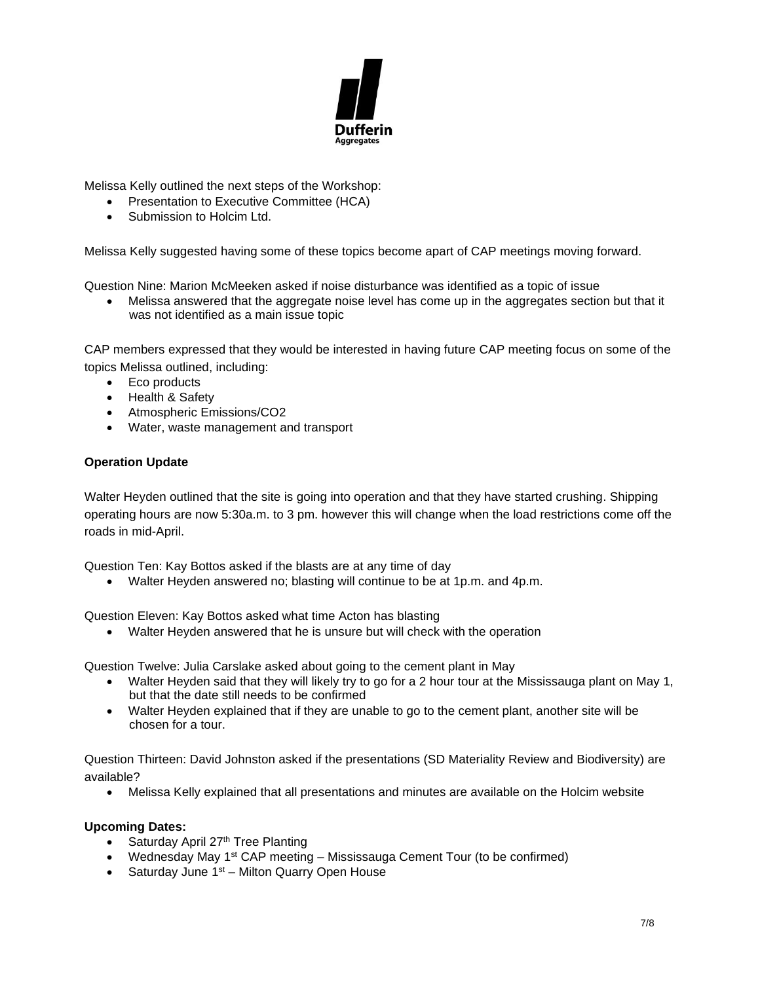

Melissa Kelly outlined the next steps of the Workshop:

- Presentation to Executive Committee (HCA)
- Submission to Holcim Ltd.

Melissa Kelly suggested having some of these topics become apart of CAP meetings moving forward.

Question Nine: Marion McMeeken asked if noise disturbance was identified as a topic of issue

• Melissa answered that the aggregate noise level has come up in the aggregates section but that it was not identified as a main issue topic

CAP members expressed that they would be interested in having future CAP meeting focus on some of the topics Melissa outlined, including:

- Eco products
- Health & Safety
- Atmospheric Emissions/CO2
- Water, waste management and transport

## **Operation Update**

Walter Heyden outlined that the site is going into operation and that they have started crushing. Shipping operating hours are now 5:30a.m. to 3 pm. however this will change when the load restrictions come off the roads in mid-April.

Question Ten: Kay Bottos asked if the blasts are at any time of day

• Walter Heyden answered no; blasting will continue to be at 1p.m. and 4p.m.

Question Eleven: Kay Bottos asked what time Acton has blasting

• Walter Heyden answered that he is unsure but will check with the operation

Question Twelve: Julia Carslake asked about going to the cement plant in May

- Walter Heyden said that they will likely try to go for a 2 hour tour at the Mississauga plant on May 1, but that the date still needs to be confirmed
- Walter Heyden explained that if they are unable to go to the cement plant, another site will be chosen for a tour.

Question Thirteen: David Johnston asked if the presentations (SD Materiality Review and Biodiversity) are available?

• Melissa Kelly explained that all presentations and minutes are available on the Holcim website

#### **Upcoming Dates:**

- Saturday April 27<sup>th</sup> Tree Planting
- Wednesday May 1st CAP meeting Mississauga Cement Tour (to be confirmed)
- Saturday June 1<sup>st</sup> Milton Quarry Open House